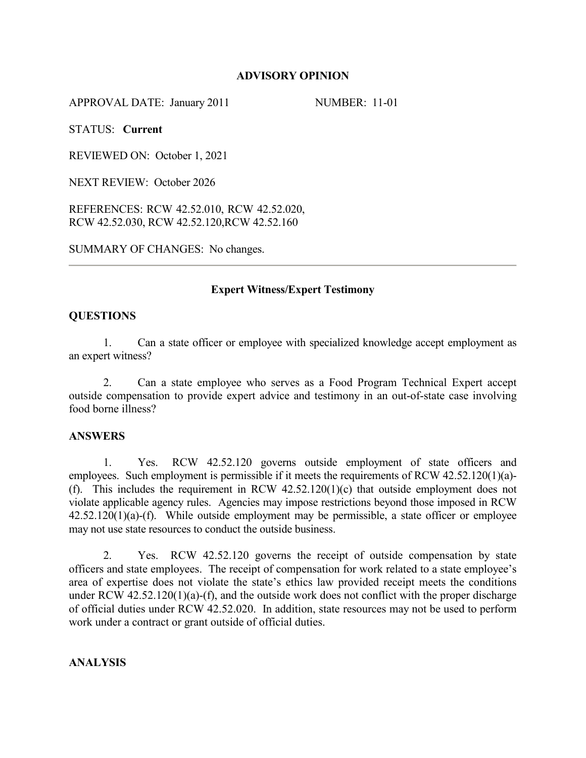# **ADVISORY OPINION**

APPROVAL DATE: January 2011 NUMBER: 11-01

STATUS: **Current**

REVIEWED ON: October 1, 2021

NEXT REVIEW: October 2026

REFERENCES: RCW 42.52.010, RCW 42.52.020, RCW 42.52.030, RCW 42.52.120,RCW 42.52.160

SUMMARY OF CHANGES: No changes.

# **Expert Witness/Expert Testimony**

### **QUESTIONS**

1. Can a state officer or employee with specialized knowledge accept employment as an expert witness?

2. Can a state employee who serves as a Food Program Technical Expert accept outside compensation to provide expert advice and testimony in an out-of-state case involving food borne illness?

### **ANSWERS**

1. Yes. RCW 42.52.120 governs outside employment of state officers and employees. Such employment is permissible if it meets the requirements of RCW 42.52.120(1)(a)- (f). This includes the requirement in RCW  $42.52.120(1)(c)$  that outside employment does not violate applicable agency rules. Agencies may impose restrictions beyond those imposed in RCW  $42.52.120(1)(a)$ -(f). While outside employment may be permissible, a state officer or employee may not use state resources to conduct the outside business.

2. Yes. RCW 42.52.120 governs the receipt of outside compensation by state officers and state employees. The receipt of compensation for work related to a state employee's area of expertise does not violate the state's ethics law provided receipt meets the conditions under RCW  $42.52.120(1)(a)$ -(f), and the outside work does not conflict with the proper discharge of official duties under RCW 42.52.020. In addition, state resources may not be used to perform work under a contract or grant outside of official duties.

### **ANALYSIS**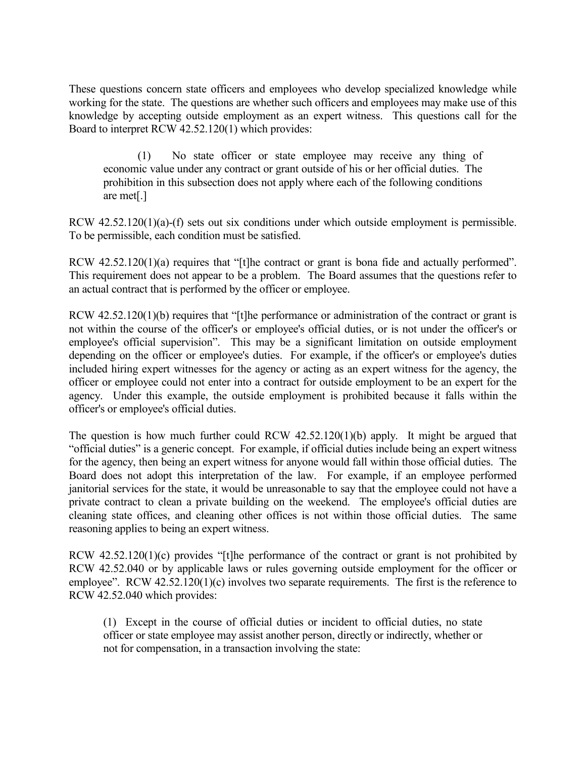These questions concern state officers and employees who develop specialized knowledge while working for the state. The questions are whether such officers and employees may make use of this knowledge by accepting outside employment as an expert witness. This questions call for the Board to interpret RCW 42.52.120(1) which provides:

(1) No state officer or state employee may receive any thing of economic value under any contract or grant outside of his or her official duties. The prohibition in this subsection does not apply where each of the following conditions are met[.]

RCW 42.52.120(1)(a)-(f) sets out six conditions under which outside employment is permissible. To be permissible, each condition must be satisfied.

RCW 42.52.120(1)(a) requires that "[t]he contract or grant is bona fide and actually performed". This requirement does not appear to be a problem. The Board assumes that the questions refer to an actual contract that is performed by the officer or employee.

RCW 42.52.120(1)(b) requires that "[t]he performance or administration of the contract or grant is not within the course of the officer's or employee's official duties, or is not under the officer's or employee's official supervision". This may be a significant limitation on outside employment depending on the officer or employee's duties. For example, if the officer's or employee's duties included hiring expert witnesses for the agency or acting as an expert witness for the agency, the officer or employee could not enter into a contract for outside employment to be an expert for the agency. Under this example, the outside employment is prohibited because it falls within the officer's or employee's official duties.

The question is how much further could RCW 42.52.120(1)(b) apply. It might be argued that "official duties" is a generic concept. For example, if official duties include being an expert witness for the agency, then being an expert witness for anyone would fall within those official duties. The Board does not adopt this interpretation of the law. For example, if an employee performed janitorial services for the state, it would be unreasonable to say that the employee could not have a private contract to clean a private building on the weekend. The employee's official duties are cleaning state offices, and cleaning other offices is not within those official duties. The same reasoning applies to being an expert witness.

RCW 42.52.120(1)(c) provides "[t]he performance of the contract or grant is not prohibited by RCW 42.52.040 or by applicable laws or rules governing outside employment for the officer or employee". RCW 42.52.120(1)(c) involves two separate requirements. The first is the reference to RCW 42.52.040 which provides:

(1) Except in the course of official duties or incident to official duties, no state officer or state employee may assist another person, directly or indirectly, whether or not for compensation, in a transaction involving the state: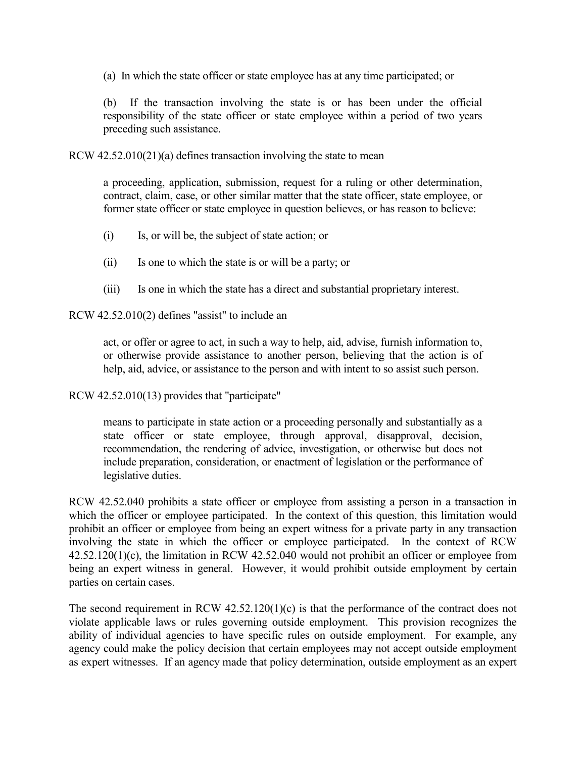(a) In which the state officer or state employee has at any time participated; or

(b) If the transaction involving the state is or has been under the official responsibility of the state officer or state employee within a period of two years preceding such assistance.

RCW 42.52.010(21)(a) defines transaction involving the state to mean

a proceeding, application, submission, request for a ruling or other determination, contract, claim, case, or other similar matter that the state officer, state employee, or former state officer or state employee in question believes, or has reason to believe:

- (i) Is, or will be, the subject of state action; or
- (ii) Is one to which the state is or will be a party; or
- (iii) Is one in which the state has a direct and substantial proprietary interest.

RCW 42.52.010(2) defines "assist" to include an

act, or offer or agree to act, in such a way to help, aid, advise, furnish information to, or otherwise provide assistance to another person, believing that the action is of help, aid, advice, or assistance to the person and with intent to so assist such person.

RCW 42.52.010(13) provides that "participate"

means to participate in state action or a proceeding personally and substantially as a state officer or state employee, through approval, disapproval, decision, recommendation, the rendering of advice, investigation, or otherwise but does not include preparation, consideration, or enactment of legislation or the performance of legislative duties.

RCW 42.52.040 prohibits a state officer or employee from assisting a person in a transaction in which the officer or employee participated. In the context of this question, this limitation would prohibit an officer or employee from being an expert witness for a private party in any transaction involving the state in which the officer or employee participated. In the context of RCW 42.52.120(1)(c), the limitation in RCW 42.52.040 would not prohibit an officer or employee from being an expert witness in general. However, it would prohibit outside employment by certain parties on certain cases.

The second requirement in RCW 42.52.120(1)(c) is that the performance of the contract does not violate applicable laws or rules governing outside employment. This provision recognizes the ability of individual agencies to have specific rules on outside employment. For example, any agency could make the policy decision that certain employees may not accept outside employment as expert witnesses. If an agency made that policy determination, outside employment as an expert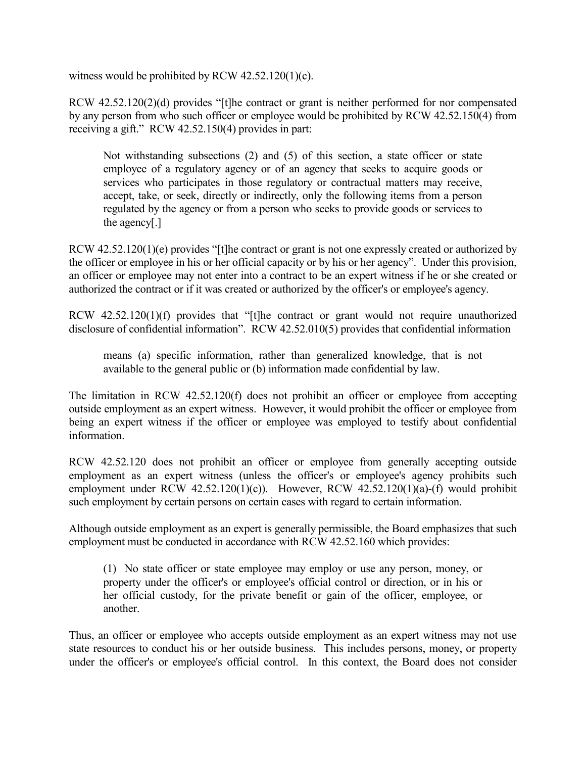witness would be prohibited by RCW 42.52.120(1)(c).

RCW 42.52.120(2)(d) provides "[t]he contract or grant is neither performed for nor compensated by any person from who such officer or employee would be prohibited by RCW 42.52.150(4) from receiving a gift." RCW 42.52.150(4) provides in part:

Not withstanding subsections (2) and (5) of this section, a state officer or state employee of a regulatory agency or of an agency that seeks to acquire goods or services who participates in those regulatory or contractual matters may receive, accept, take, or seek, directly or indirectly, only the following items from a person regulated by the agency or from a person who seeks to provide goods or services to the agency[.]

RCW 42.52.120(1)(e) provides "[t]he contract or grant is not one expressly created or authorized by the officer or employee in his or her official capacity or by his or her agency". Under this provision, an officer or employee may not enter into a contract to be an expert witness if he or she created or authorized the contract or if it was created or authorized by the officer's or employee's agency.

RCW 42.52.120(1)(f) provides that "[t]he contract or grant would not require unauthorized disclosure of confidential information". RCW 42.52.010(5) provides that confidential information

means (a) specific information, rather than generalized knowledge, that is not available to the general public or (b) information made confidential by law.

The limitation in RCW 42.52.120(f) does not prohibit an officer or employee from accepting outside employment as an expert witness. However, it would prohibit the officer or employee from being an expert witness if the officer or employee was employed to testify about confidential information.

RCW 42.52.120 does not prohibit an officer or employee from generally accepting outside employment as an expert witness (unless the officer's or employee's agency prohibits such employment under RCW  $42.52.120(1)(c)$ ). However, RCW  $42.52.120(1)(a)$ -(f) would prohibit such employment by certain persons on certain cases with regard to certain information.

Although outside employment as an expert is generally permissible, the Board emphasizes that such employment must be conducted in accordance with RCW 42.52.160 which provides:

(1) No state officer or state employee may employ or use any person, money, or property under the officer's or employee's official control or direction, or in his or her official custody, for the private benefit or gain of the officer, employee, or another.

Thus, an officer or employee who accepts outside employment as an expert witness may not use state resources to conduct his or her outside business. This includes persons, money, or property under the officer's or employee's official control. In this context, the Board does not consider